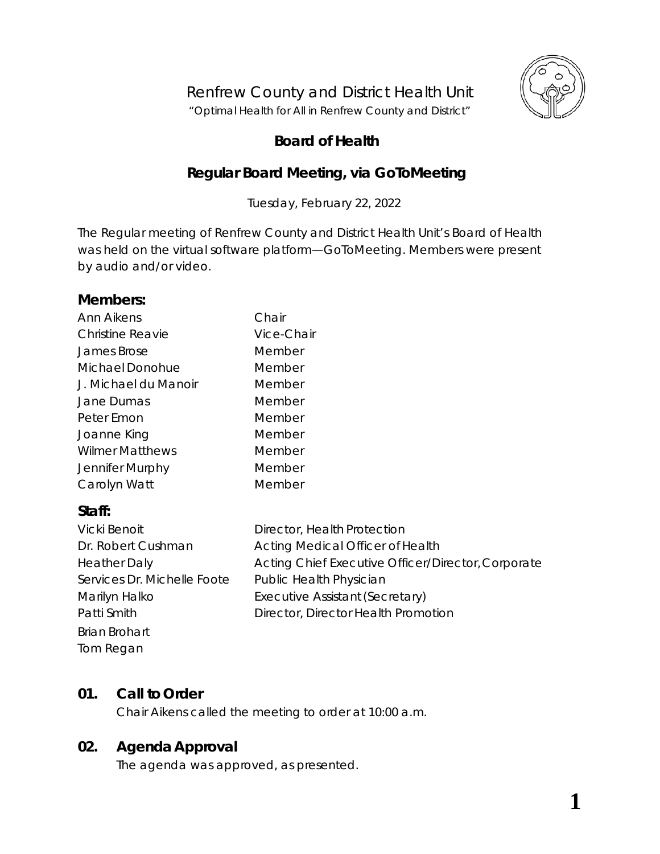

# Renfrew County and District Health Unit

"*Optimal Health for All in Renfrew County and District"*

## **Board of Health**

## **Regular Board Meeting, via** *GoToMeeting*

Tuesday, February 22, 2022

The Regular meeting of Renfrew County and District Health Unit's Board of Health was held on the virtual software platform—*GoToMeeting*. Members were present by audio and/or video.

## **Members:**

| Ann Aikens              | Chair      |
|-------------------------|------------|
| <b>Christine Reavie</b> | Vice-Chair |
| <b>James Brose</b>      | Member     |
| Michael Donohue         | Member     |
| J. Michael du Manoir    | Member     |
| Jane Dumas              | Member     |
| Peter Emon              | Member     |
| Joanne King             | Member     |
| <b>Wilmer Matthews</b>  | Member     |
| Jennifer Murphy         | Member     |
| Carolyn Watt            | Member     |

## **Staff:**

| Vicki Benoit                | Director, Health Protection                        |
|-----------------------------|----------------------------------------------------|
| Dr. Robert Cushman          | Acting Medical Officer of Health                   |
| <b>Heather Daly</b>         | Acting Chief Executive Officer/Director, Corporate |
| Services Dr. Michelle Foote | Public Health Physician                            |
| Marilyn Halko               | Executive Assistant (Secretary)                    |
| Patti Smith                 | Director, Director Health Promotion                |
| <b>Brian Brohart</b>        |                                                    |
| Tom Regan                   |                                                    |

## **01. Call to Order**

Chair Aikens called the meeting to order at 10:00 a.m.

## **02. Agenda Approval**

The agenda was approved, as presented.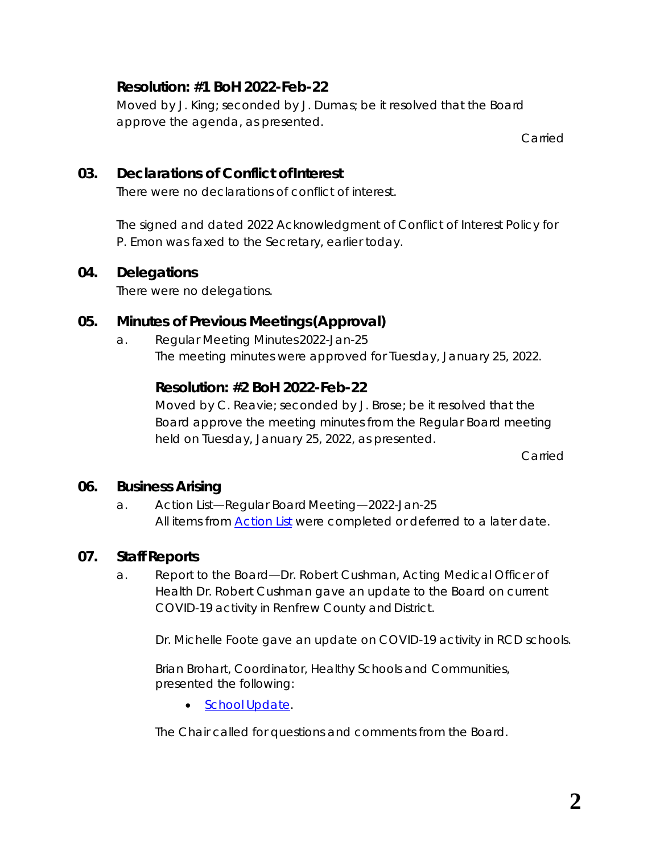## **Resolution: #1 BoH 2022-Feb-22**

Moved by J. King; seconded by J. Dumas; be it resolved that the Board approve the agenda, as presented.

Carried

## **03. Declarations of Conflict ofInterest**

There were no declarations of conflict of interest.

The signed and dated 2022 *Acknowledgment of Conflict of Interest Policy* for P. Emon was faxed to the Secretary, earlier today.

#### **04. Delegations**

There were no delegations.

## **05. Minutes of Previous Meetings(Approval)**

a. Regular Meeting Minutes2022-Jan-25 The meeting minutes were approved for Tuesday, January 25, 2022.

## **Resolution: #2 BoH 2022-Feb-22**

Moved by C. Reavie; seconded by J. Brose; be it resolved that the Board approve the meeting minutes from the Regular Board meeting held on Tuesday, January 25, 2022, as presented.

Carried

## **06. Business Arising**

a. Action List—Regular Board Meeting—2022-Jan-25 All items from *[Action List](https://www.rcdhu.com/wp-content/uploads/2022/03/06.-a.-Action-List-from-the-Regular-Board-Meeting-2022-Jan-25.pdf)* were completed or deferred to a later date.

## **07. Staff Reports**

a. Report to the Board—Dr. Robert Cushman, Acting Medical Officer of Health Dr. Robert Cushman gave an update to the Board on current COVID-19 activity in Renfrew County and District.

Dr. Michelle Foote gave an update on COVID-19 activity in RCD schools.

Brian Brohart, Coordinator, Healthy Schools and Communities, presented the following:

• *School [Update](https://www.rcdhu.com/wp-content/uploads/2022/03/07.-b.-i.-School-Update-Feb.-22-2022-BOH.pdf)*.

The Chair called for questions and comments from the Board.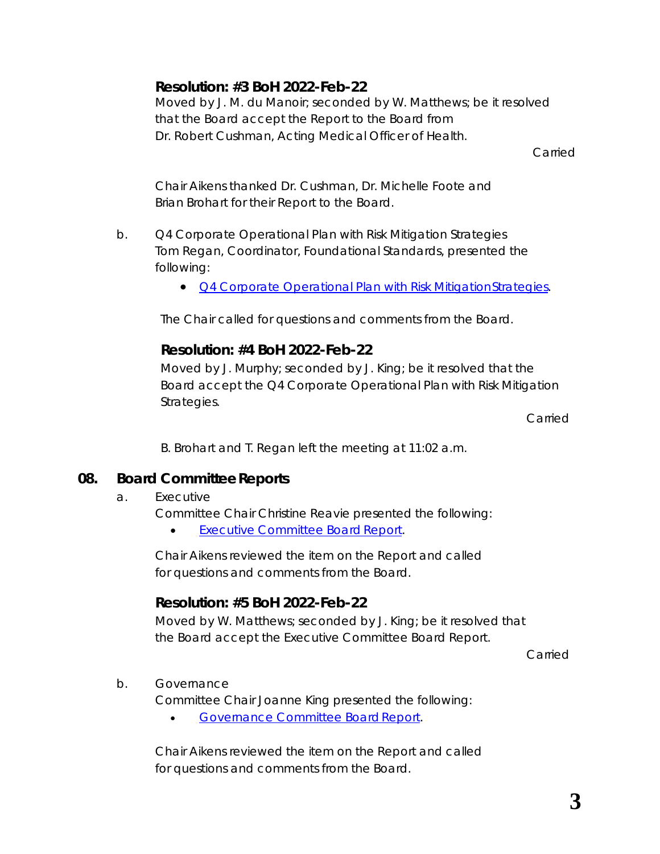## **Resolution: #3 BoH 2022-Feb-22**

Moved by J. M. du Manoir; seconded by W. Matthews; be it resolved that the Board accept the Report to the Board from Dr. Robert Cushman, Acting Medical Officer of Health.

Carried

Chair Aikens thanked Dr. Cushman, Dr. Michelle Foote and Brian Brohart for their *Report to the Board*.

- b. Q4 Corporate Operational Plan with Risk Mitigation Strategies Tom Regan, Coordinator, Foundational Standards, presented the following:
	- *[Q4 Corporate Operational Plan with Risk MitigationStrategies](https://www.rcdhu.com/wp-content/uploads/2022/03/07.-c.-i.-Q4-2021-Corporate-Operational-Plan-with-Risk-Mitigation-Strategies.pdf)*.

The Chair called for questions and comments from the Board.

## **Resolution: #4 BoH 2022-Feb-22**

Moved by J. Murphy; seconded by J. King; be it resolved that the Board accept the Q4 Corporate Operational Plan with Risk Mitigation Strategies.

Carried

B. Brohart and T. Regan left the meeting at 11:02 a.m.

## **08. Board CommitteeReports**

#### a. Executive

Committee Chair Christine Reavie presented the following:

• *[Executive Committee Board](https://www.rcdhu.com/wp-content/uploads/2022/03/08.-a.-Executive-Committee-Board-Report-2022-Feb-09.pdf) Report*.

Chair Aikens reviewed the item on the *Report* and called for questions and comments from the Board.

## **Resolution: #5 BoH 2022-Feb-22**

Moved by W. Matthews; seconded by J. King; be it resolved that the Board accept the Executive Committee Board Report.

Carried

b. Governance

Committee Chair Joanne King presented the following:

• *[Governance Committee BoardReport](https://www.rcdhu.com/wp-content/uploads/2022/03/08.-b.-Governance-Committee-Board-Report-2022-Feb-02-FINAL-1.pdf)*.

Chair Aikens reviewed the item on the *Report* and called for questions and comments from the Board.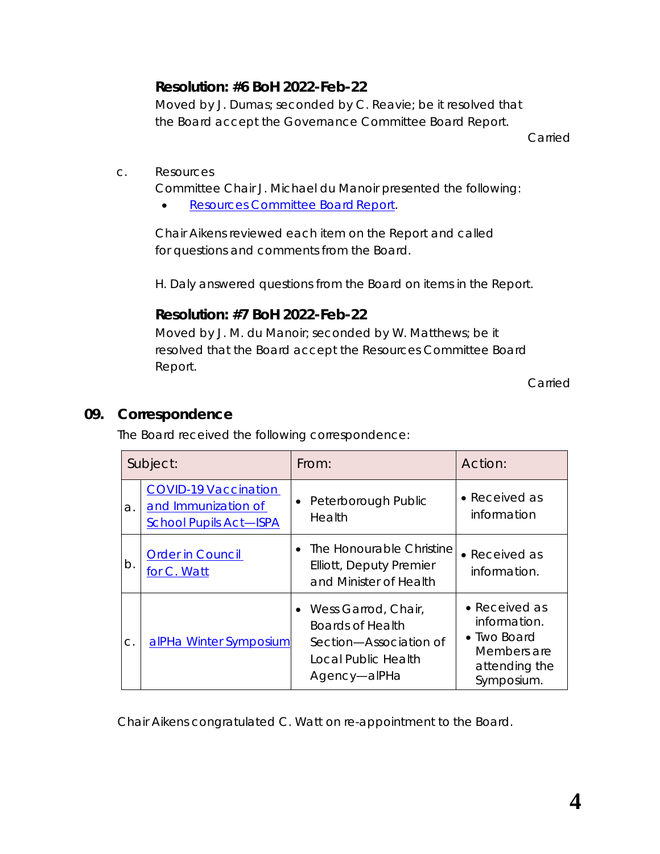## **Resolution: #6 BoH 2022-Feb-22**

Moved by J. Dumas; seconded by C. Reavie; be it resolved that the Board accept the Governance Committee Board Report.

Carried

c. Resources

Committee Chair J. Michael du Manoir presented the following:

• *[Resources Committee Board](https://www.rcdhu.com/wp-content/uploads/2022/03/08.-c.-i.-Resources-Committee-Board-Report-2022-Feb-14-FINAL-1.pdf) Report*.

Chair Aikens reviewed each item on the *Report* and called for questions and comments from the Board.

H. Daly answered questions from the Board on items in the *Report*.

#### **Resolution: #7 BoH 2022-Feb-22**

Moved by J. M. du Manoir; seconded by W. Matthews; be it resolved that the Board accept the Resources Committee Board Report.

Carried

#### **09. Correspondence**

The Board received the following correspondence:

|    | Subject:                                                                            | From:                                                                                                      | Action:                                                                                    |
|----|-------------------------------------------------------------------------------------|------------------------------------------------------------------------------------------------------------|--------------------------------------------------------------------------------------------|
| a. | <b>COVID-19 Vaccination</b><br>and Immunization of<br><b>School Pupils Act-ISPA</b> | • Peterborough Public<br>Health                                                                            | • Received as<br>information                                                               |
| b. | <b>Order in Council</b><br>for C. Watt                                              | The Honourable Christine<br>$\bullet$<br>Elliott, Deputy Premier<br>and Minister of Health                 | • Received as<br>information.                                                              |
| C. | alPHa Winter Symposium                                                              | • Wess Garrod, Chair,<br>Boards of Health<br>Section—Association of<br>Local Public Health<br>Agency-alPHa | • Received as<br>information.<br>• Two Board<br>Members are<br>attending the<br>Symposium. |

Chair Aikens congratulated C. Watt on re-appointment to the Board.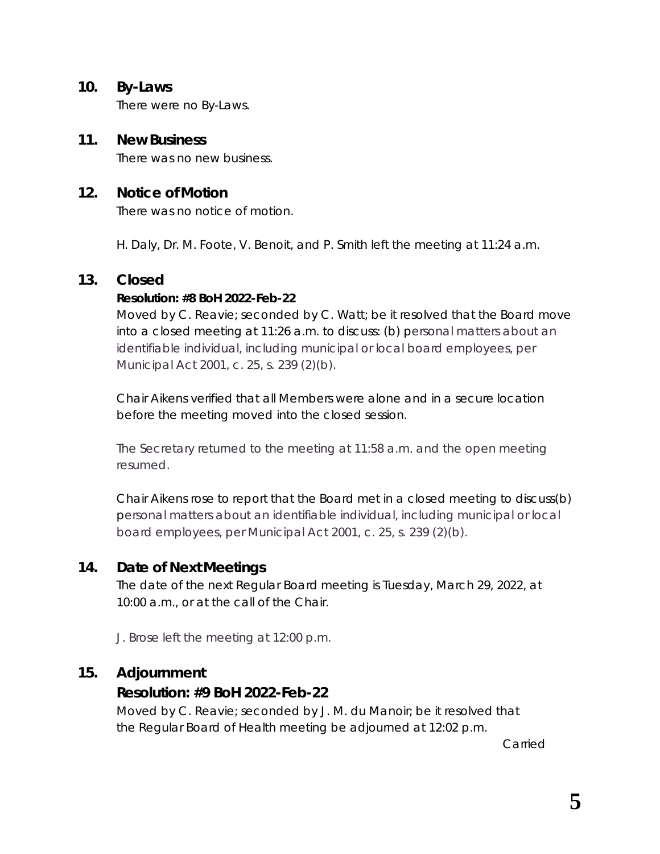#### **10. By-Laws**

There were no By-Laws.

#### **11. New Business**

There was no new business.

#### **12. Notice of Motion**

There was no notice of motion.

H. Daly, Dr. M. Foote, V. Benoit, and P. Smith left the meeting at 11:24 a.m.

#### **13. Closed**

#### **Resolution: #8 BoH 2022-Feb-22**

Moved by C. Reavie; seconded by C. Watt; be it resolved that the Board move into a closed meeting at 11:26 a.m. to discuss: (b) personal matters about an identifiable individual, including municipal or local board employees, per *Municipal Act* 2001, c. 25, s. 239 (2)(b).

Chair Aikens verified that all Members were alone and in a secure location before the meeting moved into the closed session.

The Secretary returned to the meeting at 11:58 a.m. and the open meeting resumed.

Chair Aikens rose to report that the Board met in a closed meeting to discuss(b) personal matters about an identifiable individual, including municipal or local board employees, per *Municipal Act* 2001, c. 25, s. 239 (2)(b).

#### **14. Date of Next Meetings**

The date of the next Regular Board meeting is Tuesday, March 29, 2022, at 10:00 a.m., or at the call of the Chair.

J. Brose left the meeting at 12:00 p.m.

#### **15. Adjournment**

#### **Resolution: #9 BoH 2022-Feb-22**

Moved by C. Reavie; seconded by J. M. du Manoir; be it resolved that the Regular Board of Health meeting be adjourned at 12:02 p.m.

Carried